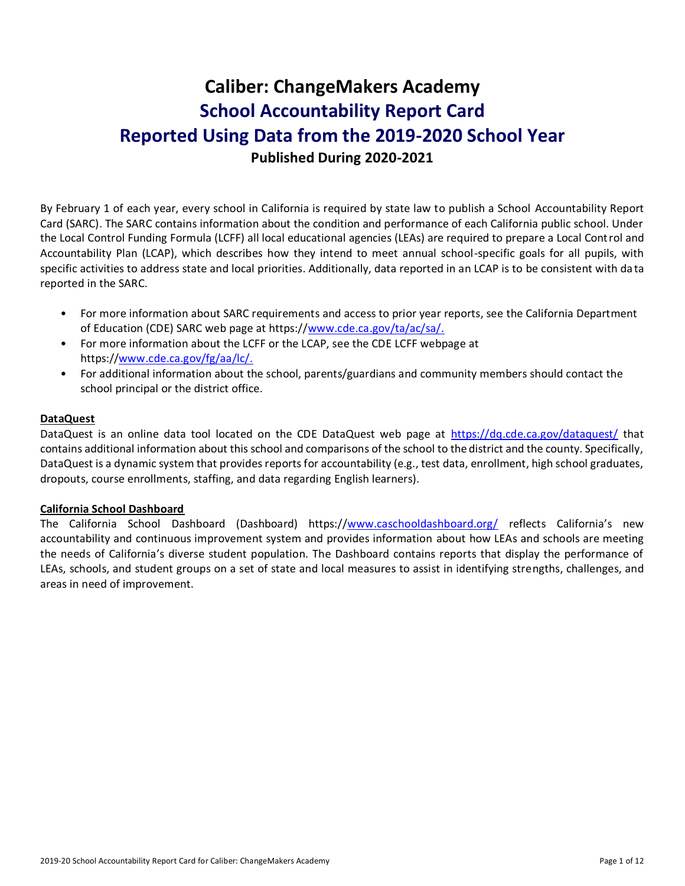# **Caliber: ChangeMakers Academy School Accountability Report Card Reported Using Data from the 2019-2020 School Year Published During 2020-2021**

By February 1 of each year, every school in California is required by state law to publish a School Accountability Report Card (SARC). The SARC contains information about the condition and performance of each California public school. Under the Local Control Funding Formula (LCFF) all local educational agencies (LEAs) are required to prepare a Local Control and Accountability Plan (LCAP), which describes how they intend to meet annual school-specific goals for all pupils, with specific activities to address state and local priorities. Additionally, data reported in an LCAP is to be consistent with da ta reported in the SARC.

- For more information about SARC requirements and access to prior year reports, see the California Department of Education (CDE) SARC web page at https:/[/www.cde.ca.gov/ta/ac/sa/.](https://www.cde.ca.gov/ta/ac/sa/)
- For more information about the LCFF or the LCAP, see the CDE LCFF webpage at https:/[/www.cde.ca.gov/fg/aa/lc/.](https://www.cde.ca.gov/fg/aa/lc/)
- For additional information about the school, parents/guardians and community members should contact the school principal or the district office.

### **DataQuest**

DataQuest is an online data tool located on the CDE DataQuest web page at <https://dq.cde.ca.gov/dataquest/> that contains additional information about this school and comparisons of the school to the district and the county. Specifically, DataQuest is a dynamic system that provides reports for accountability (e.g., test data, enrollment, high school graduates, dropouts, course enrollments, staffing, and data regarding English learners).

### **California School Dashboard**

The California School Dashboard (Dashboard) https:/[/www.caschooldashboard.org/](https://www.caschooldashboard.org/) reflects California's new accountability and continuous improvement system and provides information about how LEAs and schools are meeting the needs of California's diverse student population. The Dashboard contains reports that display the performance of LEAs, schools, and student groups on a set of state and local measures to assist in identifying strengths, challenges, and areas in need of improvement.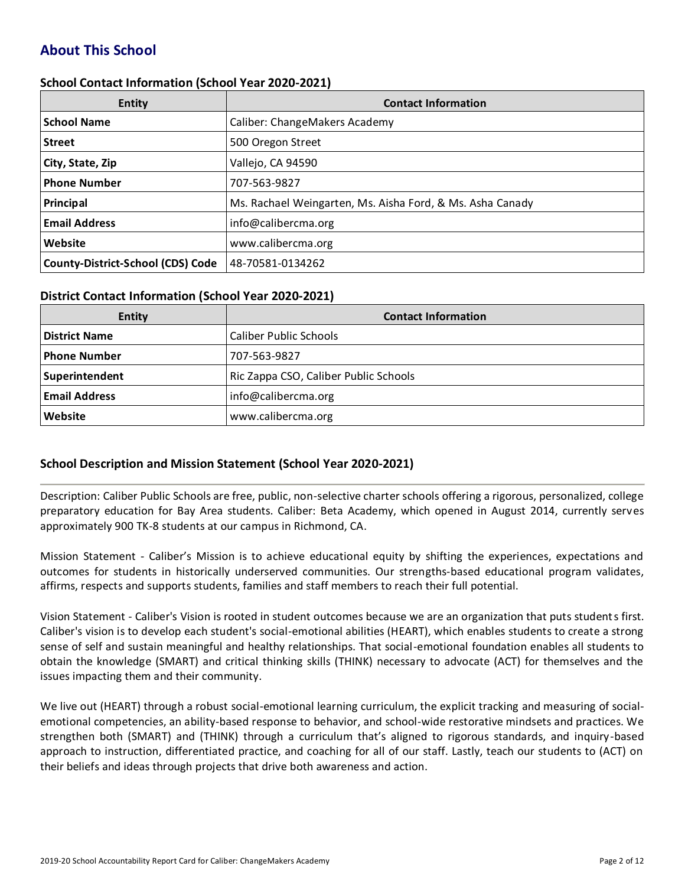# **About This School**

### **School Contact Information (School Year 2020-2021)**

| <b>Entity</b>                            | <b>Contact Information</b>                                |
|------------------------------------------|-----------------------------------------------------------|
| <b>School Name</b>                       | Caliber: ChangeMakers Academy                             |
| <b>Street</b>                            | 500 Oregon Street                                         |
| City, State, Zip                         | Vallejo, CA 94590                                         |
| <b>Phone Number</b>                      | 707-563-9827                                              |
| Principal                                | Ms. Rachael Weingarten, Ms. Aisha Ford, & Ms. Asha Canady |
| <b>Email Address</b>                     | info@calibercma.org                                       |
| Website                                  | www.calibercma.org                                        |
| <b>County-District-School (CDS) Code</b> | 48-70581-0134262                                          |

#### **District Contact Information (School Year 2020-2021)**

| Entity               | <b>Contact Information</b>            |  |  |  |
|----------------------|---------------------------------------|--|--|--|
| <b>District Name</b> | <b>Caliber Public Schools</b>         |  |  |  |
| <b>Phone Number</b>  | 707-563-9827                          |  |  |  |
| Superintendent       | Ric Zappa CSO, Caliber Public Schools |  |  |  |
| <b>Email Address</b> | info@calibercma.org                   |  |  |  |
| Website              | www.calibercma.org                    |  |  |  |

### **School Description and Mission Statement (School Year 2020-2021)**

Description: Caliber Public Schools are free, public, non-selective charter schools offering a rigorous, personalized, college preparatory education for Bay Area students. Caliber: Beta Academy, which opened in August 2014, currently serves approximately 900 TK-8 students at our campus in Richmond, CA.

Mission Statement - Caliber's Mission is to achieve educational equity by shifting the experiences, expectations and outcomes for students in historically underserved communities. Our strengths-based educational program validates, affirms, respects and supports students, families and staff members to reach their full potential.

Vision Statement - Caliber's Vision is rooted in student outcomes because we are an organization that puts students first. Caliber's vision is to develop each student's social-emotional abilities (HEART), which enables students to create a strong sense of self and sustain meaningful and healthy relationships. That social-emotional foundation enables all students to obtain the knowledge (SMART) and critical thinking skills (THINK) necessary to advocate (ACT) for themselves and the issues impacting them and their community.

We live out (HEART) through a robust social-emotional learning curriculum, the explicit tracking and measuring of socialemotional competencies, an ability-based response to behavior, and school-wide restorative mindsets and practices. We strengthen both (SMART) and (THINK) through a curriculum that's aligned to rigorous standards, and inquiry-based approach to instruction, differentiated practice, and coaching for all of our staff. Lastly, teach our students to (ACT) on their beliefs and ideas through projects that drive both awareness and action.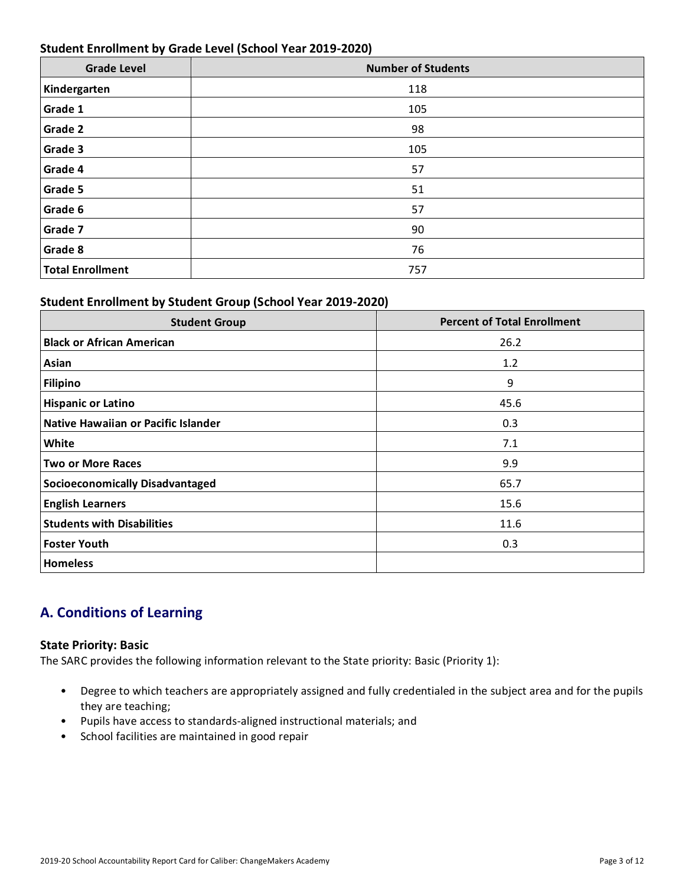### **Student Enrollment by Grade Level (School Year 2019-2020)**

| <b>Grade Level</b>      | <b>Number of Students</b> |
|-------------------------|---------------------------|
| Kindergarten            | 118                       |
| Grade 1                 | 105                       |
| Grade 2                 | 98                        |
| Grade 3                 | 105                       |
| Grade 4                 | 57                        |
| Grade 5                 | 51                        |
| Grade 6                 | 57                        |
| Grade 7                 | 90                        |
| Grade 8                 | 76                        |
| <b>Total Enrollment</b> | 757                       |

# **Student Enrollment by Student Group (School Year 2019-2020)**

| <b>Student Group</b>                   | <b>Percent of Total Enrollment</b> |
|----------------------------------------|------------------------------------|
| <b>Black or African American</b>       | 26.2                               |
| Asian                                  | 1.2                                |
| <b>Filipino</b>                        | 9                                  |
| <b>Hispanic or Latino</b>              | 45.6                               |
| Native Hawaiian or Pacific Islander    | 0.3                                |
| White                                  | 7.1                                |
| <b>Two or More Races</b>               | 9.9                                |
| <b>Socioeconomically Disadvantaged</b> | 65.7                               |
| <b>English Learners</b>                | 15.6                               |
| <b>Students with Disabilities</b>      | 11.6                               |
| <b>Foster Youth</b>                    | 0.3                                |
| <b>Homeless</b>                        |                                    |

# **A. Conditions of Learning**

### **State Priority: Basic**

The SARC provides the following information relevant to the State priority: Basic (Priority 1):

- Degree to which teachers are appropriately assigned and fully credentialed in the subject area and for the pupils they are teaching;
- Pupils have access to standards-aligned instructional materials; and
- School facilities are maintained in good repair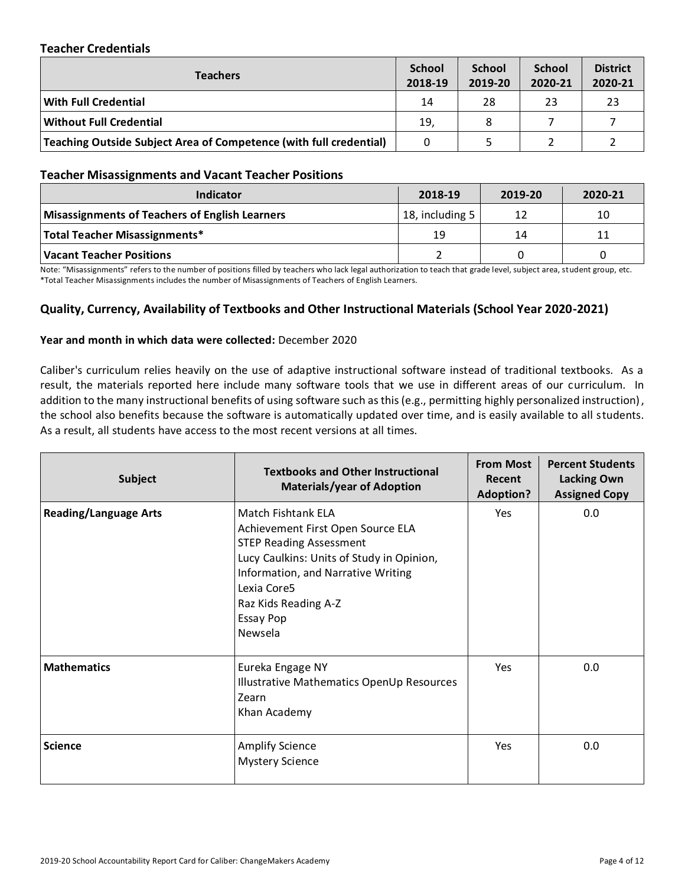### **Teacher Credentials**

| Teachers                                                           |     | <b>School</b><br>2019-20 | <b>School</b><br>2020-21 | <b>District</b><br>2020-21 |
|--------------------------------------------------------------------|-----|--------------------------|--------------------------|----------------------------|
| <b>With Full Credential</b>                                        | 14  | 28                       | 23                       | 23                         |
| <b>Without Full Credential</b>                                     | 19, | 8                        |                          |                            |
| Teaching Outside Subject Area of Competence (with full credential) | 0   |                          |                          |                            |

#### **Teacher Misassignments and Vacant Teacher Positions**

| TCQCIICI INIISQSINIIIIICHIS QHQ VQCQIII I CQCIICI I OSIIIOHS |                 |         |         |  |  |  |
|--------------------------------------------------------------|-----------------|---------|---------|--|--|--|
| Indicator                                                    | 2018-19         | 2019-20 | 2020-21 |  |  |  |
| <b>Misassignments of Teachers of English Learners</b>        | 18, including 5 | 12      | 10      |  |  |  |
| Total Teacher Misassignments*                                | 19              | 14      | 11      |  |  |  |
| Vacant Teacher Positions                                     |                 |         |         |  |  |  |

Note: "Misassignments" refers to the number of positions filled by teachers who lack legal authorization to teach that grade level, subject area, student group, etc.<br>\*Total Teacher Misassignments includes the number of Mis \*Total Teacher Misassignments includes the number of Misassignments of Teachers of English Learners.

# **Quality, Currency, Availability of Textbooks and Other Instructional Materials (School Year 2020-2021)**

#### **Year and month in which data were collected:** December 2020

Caliber's curriculum relies heavily on the use of adaptive instructional software instead of traditional textbooks. As a result, the materials reported here include many software tools that we use in different areas of our curriculum. In addition to the many instructional benefits of using software such as this (e.g., permitting highly personalized instruction), the school also benefits because the software is automatically updated over time, and is easily available to all students. As a result, all students have access to the most recent versions at all times.

| <b>Subject</b>               | <b>Textbooks and Other Instructional</b><br><b>Materials/year of Adoption</b>                                                                                                                                                               | <b>From Most</b><br>Recent<br><b>Adoption?</b> | <b>Percent Students</b><br><b>Lacking Own</b><br><b>Assigned Copy</b> |  |
|------------------------------|---------------------------------------------------------------------------------------------------------------------------------------------------------------------------------------------------------------------------------------------|------------------------------------------------|-----------------------------------------------------------------------|--|
| <b>Reading/Language Arts</b> | Match Fishtank ELA<br>Achievement First Open Source ELA<br><b>STEP Reading Assessment</b><br>Lucy Caulkins: Units of Study in Opinion,<br>Information, and Narrative Writing<br>Lexia Core5<br>Raz Kids Reading A-Z<br>Essay Pop<br>Newsela | Yes                                            | 0.0                                                                   |  |
| <b>Mathematics</b>           | Eureka Engage NY<br>Illustrative Mathematics OpenUp Resources<br>Zearn<br>Khan Academy                                                                                                                                                      | Yes                                            | 0.0                                                                   |  |
| <b>Science</b>               | <b>Amplify Science</b><br><b>Mystery Science</b>                                                                                                                                                                                            | <b>Yes</b>                                     | 0.0                                                                   |  |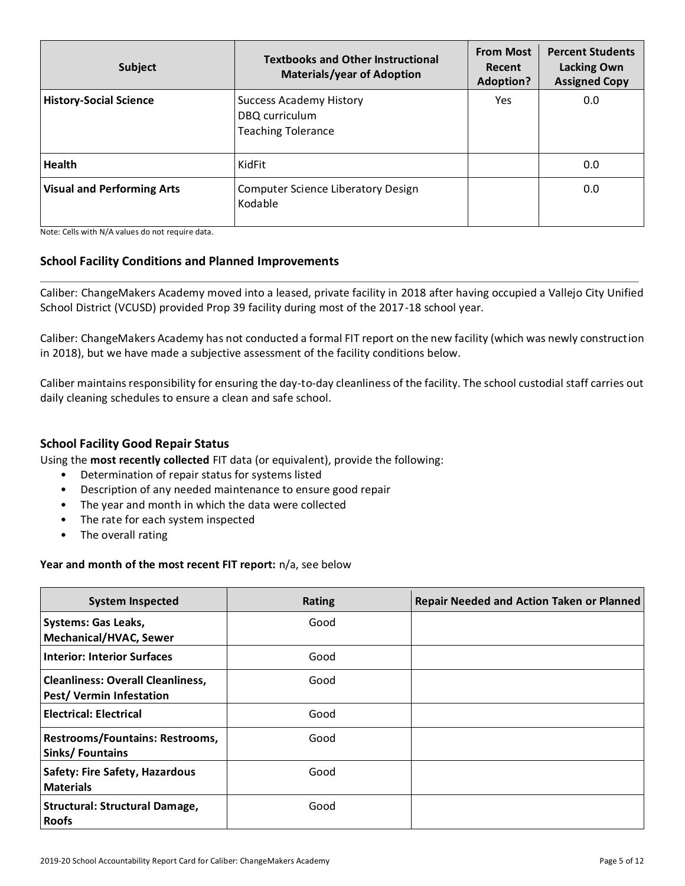| <b>Subject</b>                    | <b>Textbooks and Other Instructional</b><br><b>Materials/year of Adoption</b> | <b>From Most</b><br>Recent<br><b>Adoption?</b> | <b>Percent Students</b><br><b>Lacking Own</b><br><b>Assigned Copy</b> |  |
|-----------------------------------|-------------------------------------------------------------------------------|------------------------------------------------|-----------------------------------------------------------------------|--|
| <b>History-Social Science</b>     | <b>Success Academy History</b><br>DBQ curriculum<br><b>Teaching Tolerance</b> | <b>Yes</b>                                     | 0.0                                                                   |  |
| <b>Health</b>                     | KidFit                                                                        |                                                | 0.0                                                                   |  |
| <b>Visual and Performing Arts</b> | Computer Science Liberatory Design<br>Kodable                                 |                                                | 0.0                                                                   |  |

Note: Cells with N/A values do not require data.

### **School Facility Conditions and Planned Improvements**

Caliber: ChangeMakers Academy moved into a leased, private facility in 2018 after having occupied a Vallejo City Unified School District (VCUSD) provided Prop 39 facility during most of the 2017-18 school year.

Caliber: ChangeMakers Academy has not conducted a formal FIT report on the new facility (which was newly construction in 2018), but we have made a subjective assessment of the facility conditions below.

Caliber maintains responsibility for ensuring the day-to-day cleanliness of the facility. The school custodial staff carries out daily cleaning schedules to ensure a clean and safe school.

### **School Facility Good Repair Status**

Using the **most recently collected** FIT data (or equivalent), provide the following:

- Determination of repair status for systems listed
- Description of any needed maintenance to ensure good repair
- The year and month in which the data were collected
- The rate for each system inspected
- The overall rating

#### **Year and month of the most recent FIT report:** n/a, see below

| <b>System Inspected</b>                                             | <b>Rating</b> | <b>Repair Needed and Action Taken or Planned</b> |
|---------------------------------------------------------------------|---------------|--------------------------------------------------|
| <b>Systems: Gas Leaks,</b><br><b>Mechanical/HVAC, Sewer</b>         | Good          |                                                  |
| <b>Interior: Interior Surfaces</b>                                  | Good          |                                                  |
| <b>Cleanliness: Overall Cleanliness,</b><br>Pest/Vermin Infestation | Good          |                                                  |
| <b>Electrical: Electrical</b>                                       | Good          |                                                  |
| Restrooms/Fountains: Restrooms,<br>Sinks/Fountains                  | Good          |                                                  |
| Safety: Fire Safety, Hazardous<br><b>Materials</b>                  | Good          |                                                  |
| <b>Structural: Structural Damage,</b><br><b>Roofs</b>               | Good          |                                                  |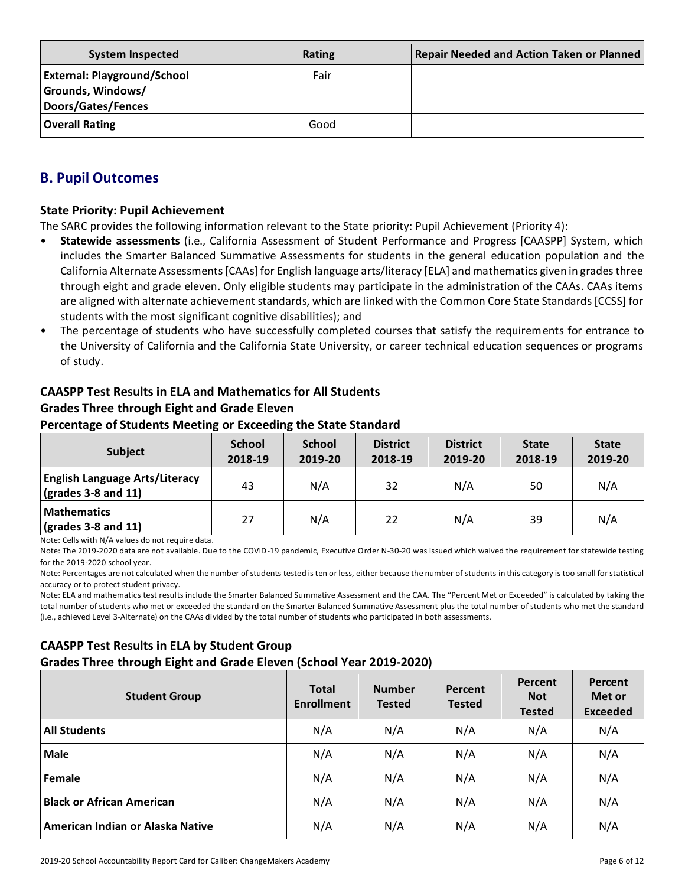| <b>System Inspected</b>                                                              | Rating | <b>Repair Needed and Action Taken or Planned</b> |
|--------------------------------------------------------------------------------------|--------|--------------------------------------------------|
| <b>External: Playground/School</b><br>Grounds, Windows/<br><b>Doors/Gates/Fences</b> | Fair   |                                                  |
| <b>Overall Rating</b>                                                                | Good   |                                                  |

# **B. Pupil Outcomes**

### **State Priority: Pupil Achievement**

The SARC provides the following information relevant to the State priority: Pupil Achievement (Priority 4):

- **Statewide assessments** (i.e., California Assessment of Student Performance and Progress [CAASPP] System, which includes the Smarter Balanced Summative Assessments for students in the general education population and the California Alternate Assessments [CAAs] for English language arts/literacy [ELA] and mathematics given in grades three through eight and grade eleven. Only eligible students may participate in the administration of the CAAs. CAAs items are aligned with alternate achievement standards, which are linked with the Common Core State Standards [CCSS] for students with the most significant cognitive disabilities); and
- The percentage of students who have successfully completed courses that satisfy the requirements for entrance to the University of California and the California State University, or career technical education sequences or programs of study.

# **CAASPP Test Results in ELA and Mathematics for All Students Grades Three through Eight and Grade Eleven**

#### **Percentage of Students Meeting or Exceeding the State Standard**

| <b>Subject</b>                                                       | <b>School</b><br>2018-19 | <b>School</b><br>2019-20 | <b>District</b><br>2018-19 | <b>District</b><br>2019-20 | <b>State</b><br>2018-19 | <b>State</b><br>2019-20 |
|----------------------------------------------------------------------|--------------------------|--------------------------|----------------------------|----------------------------|-------------------------|-------------------------|
| <b>English Language Arts/Literacy</b><br>$\vert$ (grades 3-8 and 11) | 43                       | N/A                      | 32                         | N/A                        | 50                      | N/A                     |
| <b>Mathematics</b><br>$\vert$ (grades 3-8 and 11)                    | 27                       | N/A                      | 22                         | N/A                        | 39                      | N/A                     |

Note: Cells with N/A values do not require data.

Note: The 2019-2020 data are not available. Due to the COVID-19 pandemic, Executive Order N-30-20 was issued which waived the requirement for statewide testing for the 2019-2020 school year.

Note: Percentages are not calculated when the number of students tested is ten or less, either because the number of students in this category is too small for statistical accuracy or to protect student privacy.

Note: ELA and mathematics test results include the Smarter Balanced Summative Assessment and the CAA. The "Percent Met or Exceeded" is calculated by taking the total number of students who met or exceeded the standard on the Smarter Balanced Summative Assessment plus the total number of students who met the standard (i.e., achieved Level 3-Alternate) on the CAAs divided by the total number of students who participated in both assessments.

# **CAASPP Test Results in ELA by Student Group Grades Three through Eight and Grade Eleven (School Year 2019-2020)**

| <b>Student Group</b>             | <b>Total</b><br><b>Enrollment</b> | <b>Number</b><br><b>Tested</b> | Percent<br><b>Tested</b> | Percent<br><b>Not</b><br><b>Tested</b> | Percent<br>Met or<br><b>Exceeded</b> |
|----------------------------------|-----------------------------------|--------------------------------|--------------------------|----------------------------------------|--------------------------------------|
| <b>All Students</b>              | N/A                               | N/A                            | N/A                      | N/A                                    | N/A                                  |
| Male                             | N/A                               | N/A                            | N/A                      | N/A                                    | N/A                                  |
| Female                           | N/A                               | N/A                            | N/A                      | N/A                                    | N/A                                  |
| <b>Black or African American</b> | N/A                               | N/A                            | N/A                      | N/A                                    | N/A                                  |
| American Indian or Alaska Native | N/A                               | N/A                            | N/A                      | N/A                                    | N/A                                  |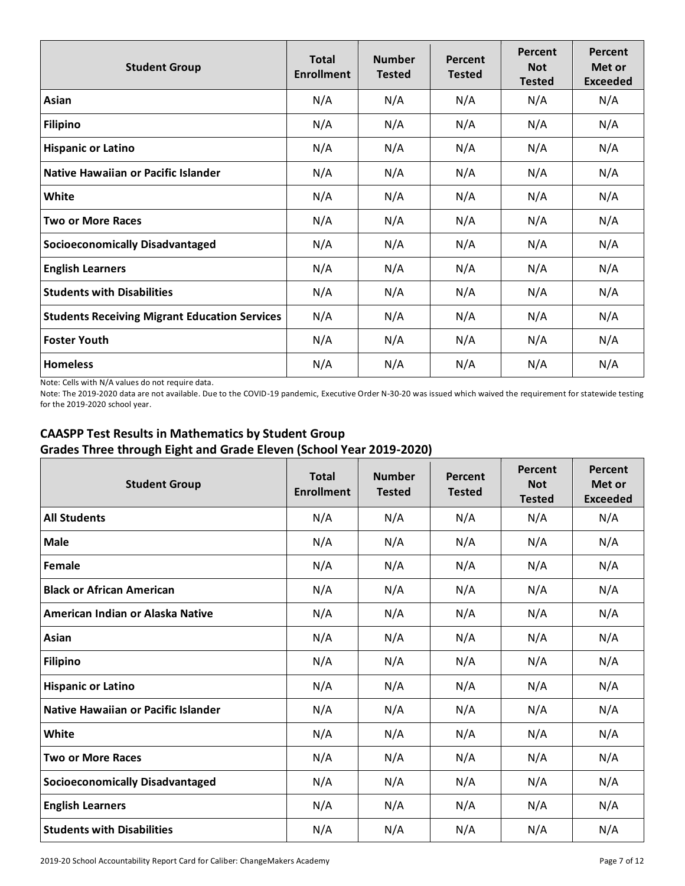| <b>Student Group</b>                                 | <b>Total</b><br><b>Enrollment</b> | <b>Number</b><br><b>Tested</b> | Percent<br><b>Tested</b> | Percent<br><b>Not</b><br><b>Tested</b> | Percent<br>Met or<br><b>Exceeded</b> |
|------------------------------------------------------|-----------------------------------|--------------------------------|--------------------------|----------------------------------------|--------------------------------------|
| Asian                                                | N/A                               | N/A                            | N/A                      | N/A                                    | N/A                                  |
| <b>Filipino</b>                                      | N/A                               | N/A                            | N/A                      | N/A                                    | N/A                                  |
| <b>Hispanic or Latino</b>                            | N/A                               | N/A                            | N/A                      | N/A                                    | N/A                                  |
| Native Hawaiian or Pacific Islander                  | N/A                               | N/A                            | N/A                      | N/A                                    | N/A                                  |
| White                                                | N/A                               | N/A                            | N/A                      | N/A                                    | N/A                                  |
| <b>Two or More Races</b>                             | N/A                               | N/A                            | N/A                      | N/A                                    | N/A                                  |
| <b>Socioeconomically Disadvantaged</b>               | N/A                               | N/A                            | N/A                      | N/A                                    | N/A                                  |
| <b>English Learners</b>                              | N/A                               | N/A                            | N/A                      | N/A                                    | N/A                                  |
| <b>Students with Disabilities</b>                    | N/A                               | N/A                            | N/A                      | N/A                                    | N/A                                  |
| <b>Students Receiving Migrant Education Services</b> | N/A                               | N/A                            | N/A                      | N/A                                    | N/A                                  |
| <b>Foster Youth</b>                                  | N/A                               | N/A                            | N/A                      | N/A                                    | N/A                                  |
| <b>Homeless</b>                                      | N/A                               | N/A                            | N/A                      | N/A                                    | N/A                                  |

Note: Cells with N/A values do not require data.

Note: The 2019-2020 data are not available. Due to the COVID-19 pandemic, Executive Order N-30-20 was issued which waived the requirement for statewide testing for the 2019-2020 school year.

# **CAASPP Test Results in Mathematics by Student Group Grades Three through Eight and Grade Eleven (School Year 2019-2020)**

| <b>Student Group</b>                   | <b>Total</b><br><b>Enrollment</b> | <b>Number</b><br><b>Tested</b> | Percent<br><b>Tested</b> | Percent<br><b>Not</b><br><b>Tested</b> | Percent<br>Met or<br><b>Exceeded</b> |
|----------------------------------------|-----------------------------------|--------------------------------|--------------------------|----------------------------------------|--------------------------------------|
| <b>All Students</b>                    | N/A                               | N/A                            | N/A                      | N/A                                    | N/A                                  |
| <b>Male</b>                            | N/A                               | N/A                            | N/A                      | N/A                                    | N/A                                  |
| Female                                 | N/A                               | N/A                            | N/A                      | N/A                                    | N/A                                  |
| <b>Black or African American</b>       | N/A                               | N/A                            | N/A                      | N/A                                    | N/A                                  |
| American Indian or Alaska Native       | N/A                               | N/A                            | N/A                      | N/A                                    | N/A                                  |
| Asian                                  | N/A                               | N/A                            | N/A                      | N/A                                    | N/A                                  |
| <b>Filipino</b>                        | N/A                               | N/A                            | N/A                      | N/A                                    | N/A                                  |
| <b>Hispanic or Latino</b>              | N/A                               | N/A                            | N/A                      | N/A                                    | N/A                                  |
| Native Hawaiian or Pacific Islander    | N/A                               | N/A                            | N/A                      | N/A                                    | N/A                                  |
| White                                  | N/A                               | N/A                            | N/A                      | N/A                                    | N/A                                  |
| <b>Two or More Races</b>               | N/A                               | N/A                            | N/A                      | N/A                                    | N/A                                  |
| <b>Socioeconomically Disadvantaged</b> | N/A                               | N/A                            | N/A                      | N/A                                    | N/A                                  |
| <b>English Learners</b>                | N/A                               | N/A                            | N/A                      | N/A                                    | N/A                                  |
| <b>Students with Disabilities</b>      | N/A                               | N/A                            | N/A                      | N/A                                    | N/A                                  |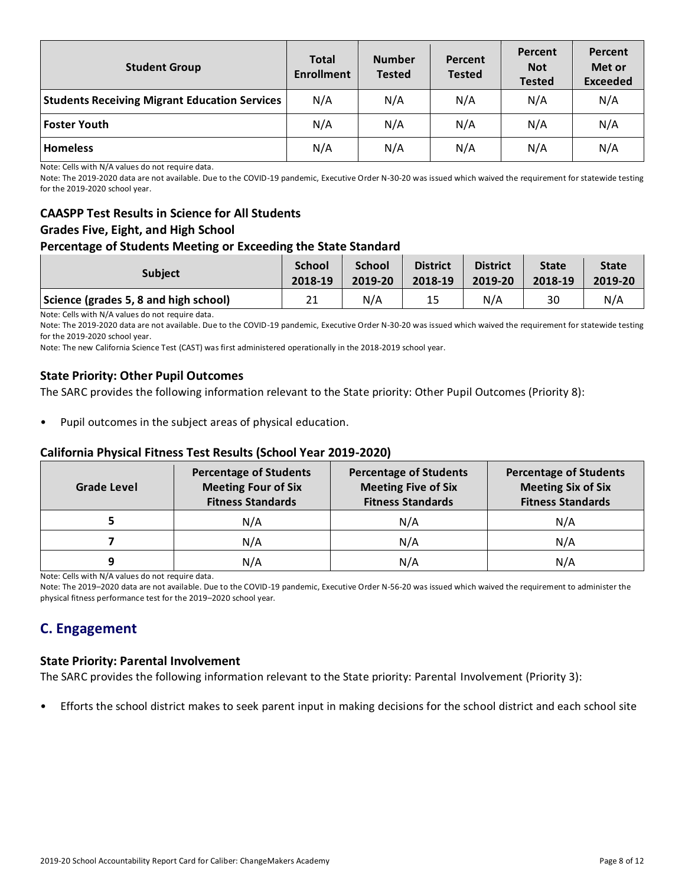| <b>Student Group</b>                                 | <b>Total</b><br><b>Enrollment</b> | <b>Number</b><br><b>Tested</b> | Percent<br><b>Tested</b> | Percent<br><b>Not</b><br><b>Tested</b> | Percent<br>Met or<br><b>Exceeded</b> |
|------------------------------------------------------|-----------------------------------|--------------------------------|--------------------------|----------------------------------------|--------------------------------------|
| <b>Students Receiving Migrant Education Services</b> | N/A                               | N/A                            | N/A                      | N/A                                    | N/A                                  |
| <b>Foster Youth</b>                                  | N/A                               | N/A                            | N/A                      | N/A                                    | N/A                                  |
| <b>Homeless</b>                                      | N/A                               | N/A                            | N/A                      | N/A                                    | N/A                                  |

Note: Cells with N/A values do not require data.

Note: The 2019-2020 data are not available. Due to the COVID-19 pandemic, Executive Order N-30-20 was issued which waived the requirement for statewide testing for the 2019-2020 school year.

# **CAASPP Test Results in Science for All Students Grades Five, Eight, and High School**

### **Percentage of Students Meeting or Exceeding the State Standard**

| <b>Subject</b>                        | <b>School</b> | <b>School</b> | <b>District</b> | <b>District</b> | <b>State</b> | <b>State</b> |
|---------------------------------------|---------------|---------------|-----------------|-----------------|--------------|--------------|
|                                       | 2018-19       | 2019-20       | 2018-19         | 2019-20         | 2018-19      | 2019-20      |
| Science (grades 5, 8 and high school) | 21            | N/A           | 15              | N/A             | 30           | N/A          |

Note: Cells with N/A values do not require data.

Note: The 2019-2020 data are not available. Due to the COVID-19 pandemic, Executive Order N-30-20 was issued which waived the requirement for statewide testing for the 2019-2020 school year.

Note: The new California Science Test (CAST) was first administered operationally in the 2018-2019 school year.

### **State Priority: Other Pupil Outcomes**

The SARC provides the following information relevant to the State priority: Other Pupil Outcomes (Priority 8):

Pupil outcomes in the subject areas of physical education.

### **California Physical Fitness Test Results (School Year 2019-2020)**

| Grade Level | <b>Percentage of Students</b><br><b>Meeting Four of Six</b><br><b>Fitness Standards</b> | <b>Percentage of Students</b><br><b>Meeting Five of Six</b><br><b>Fitness Standards</b> | <b>Percentage of Students</b><br><b>Meeting Six of Six</b><br><b>Fitness Standards</b> |  |
|-------------|-----------------------------------------------------------------------------------------|-----------------------------------------------------------------------------------------|----------------------------------------------------------------------------------------|--|
|             | N/A                                                                                     | N/A                                                                                     | N/A                                                                                    |  |
|             | N/A                                                                                     | N/A                                                                                     | N/A                                                                                    |  |
| q           | N/A                                                                                     | N/A                                                                                     | N/A                                                                                    |  |

Note: Cells with N/A values do not require data.

Note: The 2019–2020 data are not available. Due to the COVID-19 pandemic, Executive Order N-56-20 was issued which waived the requirement to administer the physical fitness performance test for the 2019–2020 school year.

# **C. Engagement**

#### **State Priority: Parental Involvement**

The SARC provides the following information relevant to the State priority: Parental Involvement (Priority 3):

• Efforts the school district makes to seek parent input in making decisions for the school district and each school site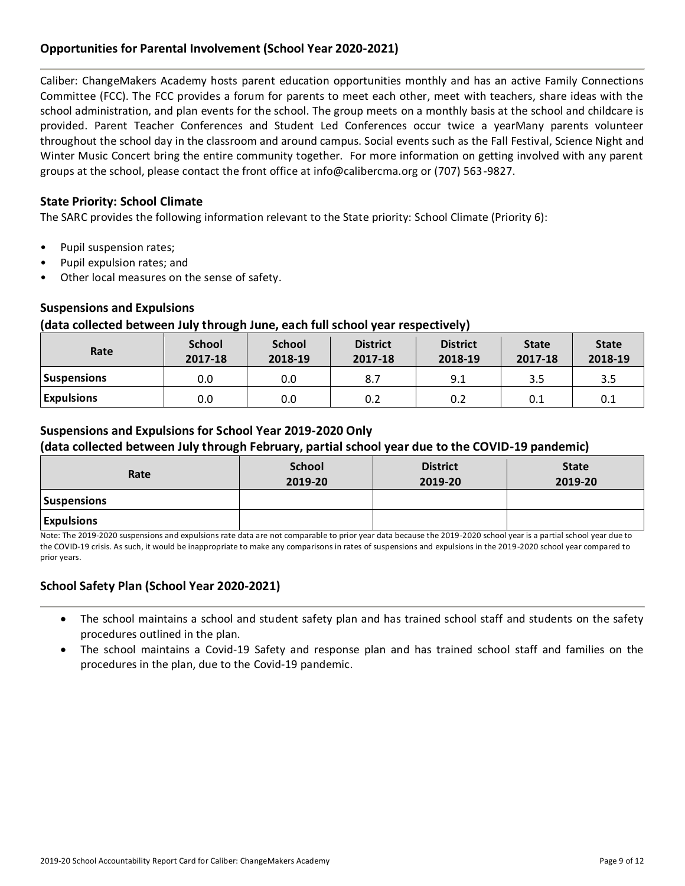# **Opportunities for Parental Involvement (School Year 2020-2021)**

Caliber: ChangeMakers Academy hosts parent education opportunities monthly and has an active Family Connections Committee (FCC). The FCC provides a forum for parents to meet each other, meet with teachers, share ideas with the school administration, and plan events for the school. The group meets on a monthly basis at the school and childcare is provided. Parent Teacher Conferences and Student Led Conferences occur twice a yearMany parents volunteer throughout the school day in the classroom and around campus. Social events such as the Fall Festival, Science Night and Winter Music Concert bring the entire community together. For more information on getting involved with any parent groups at the school, please contact the front office at info@calibercma.org or (707) 563-9827.

### **State Priority: School Climate**

The SARC provides the following information relevant to the State priority: School Climate (Priority 6):

- Pupil suspension rates;
- Pupil expulsion rates; and
- Other local measures on the sense of safety.

### **Suspensions and Expulsions**

### **(data collected between July through June, each full school year respectively)**

| Rate               | <b>School</b><br>2017-18 | <b>School</b><br>2018-19 | <b>District</b><br>2017-18 | <b>District</b><br>2018-19 | <b>State</b><br>2017-18 | <b>State</b><br>2018-19 |
|--------------------|--------------------------|--------------------------|----------------------------|----------------------------|-------------------------|-------------------------|
| <b>Suspensions</b> | 0.0                      | 0.0                      | 8.7                        | 9.1                        | 3.5                     | 3.5                     |
| <b>Expulsions</b>  | 0.0                      | 0.0                      | 0.2                        | 0.2                        | 0.1                     | 0.1                     |

### **Suspensions and Expulsions for School Year 2019-2020 Only**

### **(data collected between July through February, partial school year due to the COVID-19 pandemic)**

| Rate               | <b>School</b><br>2019-20 | <b>District</b><br>2019-20 | <b>State</b><br>2019-20 |
|--------------------|--------------------------|----------------------------|-------------------------|
| <b>Suspensions</b> |                          |                            |                         |
| <b>Expulsions</b>  |                          |                            |                         |

Note: The 2019-2020 suspensions and expulsions rate data are not comparable to prior year data because the 2019-2020 school year is a partial school year due to the COVID-19 crisis. As such, it would be inappropriate to make any comparisons in rates of suspensions and expulsions in the 2019-2020 school year compared to prior years.

# **School Safety Plan (School Year 2020-2021)**

- The school maintains a school and student safety plan and has trained school staff and students on the safety procedures outlined in the plan.
- The school maintains a Covid-19 Safety and response plan and has trained school staff and families on the procedures in the plan, due to the Covid-19 pandemic.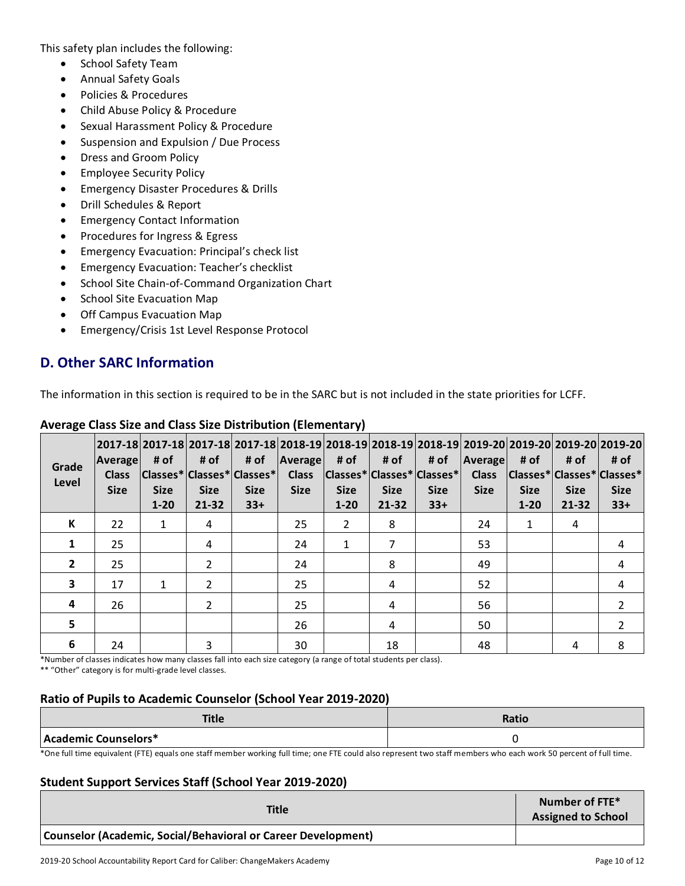This safety plan includes the following:

- School Safety Team
- Annual Safety Goals
- Policies & Procedures
- Child Abuse Policy & Procedure
- Sexual Harassment Policy & Procedure
- Suspension and Expulsion / Due Process
- Dress and Groom Policy
- Employee Security Policy
- Emergency Disaster Procedures & Drills
- Drill Schedules & Report
- Emergency Contact Information
- Procedures for Ingress & Egress
- Emergency Evacuation: Principal's check list
- Emergency Evacuation: Teacher's checklist
- School Site Chain-of-Command Organization Chart
- School Site Evacuation Map
- Off Campus Evacuation Map
- Emergency/Crisis 1st Level Response Protocol

# **D. Other SARC Information**

The information in this section is required to be in the SARC but is not included in the state priorities for LCFF.

| Grade<br>Level          | Average<br><b>Class</b><br><b>Size</b> | # of<br><b>Size</b><br>$1 - 20$ | # of<br> Classes* Classes* Classes* <br><b>Size</b><br>21-32 | # of<br><b>Size</b><br>$33+$ | 2017-18 2017-18 2017-18 2017-18 2018-19 2018-19 2018-19 2018-19 2019-20 2019-20 2019-20 2019-20 2019-20<br><b>Average</b><br><b>Class</b><br><b>Size</b> | # of<br> Classes* Classes* Classes* <br><b>Size</b><br>$1 - 20$ | # of<br><b>Size</b><br>$21 - 32$ | # of<br><b>Size</b><br>$33+$ | Average<br><b>Class</b><br><b>Size</b> | # of<br> Classes* Classes* Classes*<br><b>Size</b><br>$1 - 20$ | # of<br><b>Size</b><br>$21 - 32$ | # of<br><b>Size</b><br>$33+$ |
|-------------------------|----------------------------------------|---------------------------------|--------------------------------------------------------------|------------------------------|----------------------------------------------------------------------------------------------------------------------------------------------------------|-----------------------------------------------------------------|----------------------------------|------------------------------|----------------------------------------|----------------------------------------------------------------|----------------------------------|------------------------------|
| К                       | 22                                     | 1                               | 4                                                            |                              | 25                                                                                                                                                       | 2                                                               | 8                                |                              | 24                                     | 1                                                              | 4                                |                              |
| 1                       | 25                                     |                                 | 4                                                            |                              | 24                                                                                                                                                       | 1                                                               | 7                                |                              | 53                                     |                                                                |                                  | 4                            |
| $\overline{2}$          | 25                                     |                                 | $\mathcal{P}$                                                |                              | 24                                                                                                                                                       |                                                                 | 8                                |                              | 49                                     |                                                                |                                  | 4                            |
| $\overline{\mathbf{3}}$ | 17                                     |                                 | 2                                                            |                              | 25                                                                                                                                                       |                                                                 | 4                                |                              | 52                                     |                                                                |                                  | 4                            |
| 4                       | 26                                     |                                 | $\mathcal{P}$                                                |                              | 25                                                                                                                                                       |                                                                 | 4                                |                              | 56                                     |                                                                |                                  |                              |
| 5                       |                                        |                                 |                                                              |                              | 26                                                                                                                                                       |                                                                 | 4                                |                              | 50                                     |                                                                |                                  |                              |
| 6                       | 24                                     |                                 | 3                                                            |                              | 30                                                                                                                                                       |                                                                 | 18                               |                              | 48                                     |                                                                | 4                                | 8                            |

# **Average Class Size and Class Size Distribution (Elementary)**

\*Number of classes indicates how many classes fall into each size category (a range of total students per class).

\*\* "Other" category is for multi-grade level classes.

# **Ratio of Pupils to Academic Counselor (School Year 2019-2020)**

| TH.<br>''''          | Ratio |
|----------------------|-------|
| Academic Counselors* |       |

\*One full time equivalent (FTE) equals one staff member working full time; one FTE could also represent two staff members who each work 50 percent of full time.

# **Student Support Services Staff (School Year 2019-2020)**

| <b>Title</b>                                                  | Number of FTE*<br><b>Assigned to School</b> |
|---------------------------------------------------------------|---------------------------------------------|
| Counselor (Academic, Social/Behavioral or Career Development) |                                             |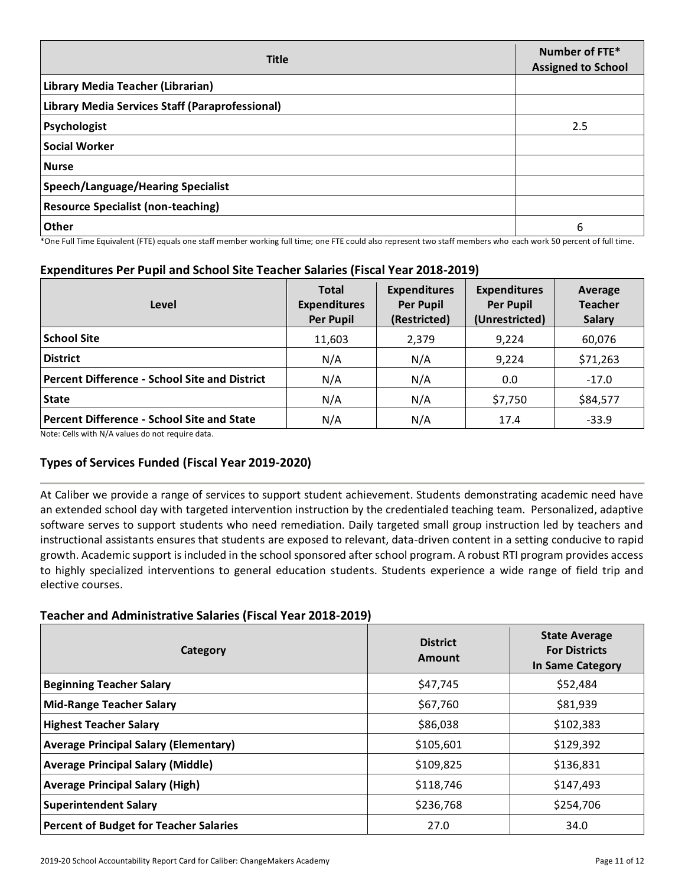| <b>Title</b>                                    | Number of FTE*<br><b>Assigned to School</b> |
|-------------------------------------------------|---------------------------------------------|
| Library Media Teacher (Librarian)               |                                             |
| Library Media Services Staff (Paraprofessional) |                                             |
| Psychologist                                    | 2.5                                         |
| <b>Social Worker</b>                            |                                             |
| <b>Nurse</b>                                    |                                             |
| Speech/Language/Hearing Specialist              |                                             |
| <b>Resource Specialist (non-teaching)</b>       |                                             |
| Other                                           | 6                                           |

\*One Full Time Equivalent (FTE) equals one staff member working full time; one FTE could also represent two staff members who each work 50 percent of full time.

# **Expenditures Per Pupil and School Site Teacher Salaries (Fiscal Year 2018-2019)**

| Level                                                                                                                  | <b>Total</b><br><b>Expenditures</b><br><b>Per Pupil</b> | <b>Expenditures</b><br><b>Per Pupil</b><br>(Restricted) | <b>Expenditures</b><br><b>Per Pupil</b><br>(Unrestricted) | Average<br><b>Teacher</b><br><b>Salary</b> |
|------------------------------------------------------------------------------------------------------------------------|---------------------------------------------------------|---------------------------------------------------------|-----------------------------------------------------------|--------------------------------------------|
| <b>School Site</b>                                                                                                     | 11,603                                                  | 2,379                                                   | 9,224                                                     | 60,076                                     |
| <b>District</b>                                                                                                        | N/A                                                     | N/A                                                     | 9,224                                                     | \$71,263                                   |
| <b>Percent Difference - School Site and District</b>                                                                   | N/A                                                     | N/A                                                     | 0.0                                                       | $-17.0$                                    |
| <b>State</b>                                                                                                           | N/A                                                     | N/A                                                     | \$7,750                                                   | \$84,577                                   |
| <b>Percent Difference - School Site and State</b><br><b>ALCOHOLOGYPT CONTACT AND ALCOHOLOGY CONTACT AND ALCOHOLOGY</b> | N/A                                                     | N/A                                                     | 17.4                                                      | $-33.9$                                    |

Note: Cells with N/A values do not require data.

# **Types of Services Funded (Fiscal Year 2019-2020)**

At Caliber we provide a range of services to support student achievement. Students demonstrating academic need have an extended school day with targeted intervention instruction by the credentialed teaching team. Personalized, adaptive software serves to support students who need remediation. Daily targeted small group instruction led by teachers and instructional assistants ensures that students are exposed to relevant, data-driven content in a setting conducive to rapid growth. Academic support is included in the school sponsored after school program. A robust RTI program provides access to highly specialized interventions to general education students. Students experience a wide range of field trip and elective courses.

### **Teacher and Administrative Salaries (Fiscal Year 2018-2019)**

| Category                                      | <b>District</b><br>Amount | <b>State Average</b><br><b>For Districts</b><br>In Same Category |
|-----------------------------------------------|---------------------------|------------------------------------------------------------------|
| <b>Beginning Teacher Salary</b>               | \$47,745                  | \$52,484                                                         |
| <b>Mid-Range Teacher Salary</b>               | \$67,760                  | \$81,939                                                         |
| <b>Highest Teacher Salary</b>                 | \$86,038                  | \$102,383                                                        |
| <b>Average Principal Salary (Elementary)</b>  | \$105,601                 | \$129,392                                                        |
| <b>Average Principal Salary (Middle)</b>      | \$109,825                 | \$136,831                                                        |
| <b>Average Principal Salary (High)</b>        | \$118,746                 | \$147,493                                                        |
| <b>Superintendent Salary</b>                  | \$236,768                 | \$254,706                                                        |
| <b>Percent of Budget for Teacher Salaries</b> | 27.0                      | 34.0                                                             |